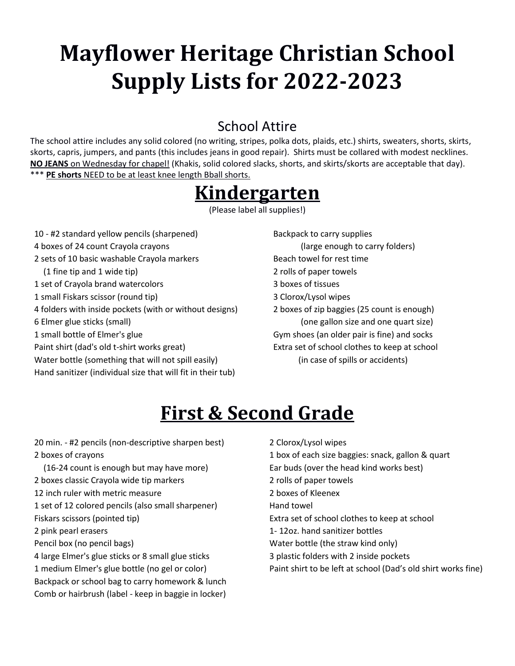# **Mayflower Heritage Christian School Supply Lists for 2022-2023**

### School Attire

The school attire includes any solid colored (no writing, stripes, polka dots, plaids, etc.) shirts, sweaters, shorts, skirts, skorts, capris, jumpers, and pants (this includes jeans in good repair). Shirts must be collared with modest necklines. **NO JEANS** on Wednesday for chapel! (Khakis, solid colored slacks, shorts, and skirts/skorts are acceptable that day). \*\*\* **PE shorts** NEED to be at least knee length Bball shorts.



(Please label all supplies!)

10 - #2 standard yellow pencils (sharpened) Backpack to carry supplies 4 boxes of 24 count Crayola crayons (large enough to carry folders) 2 sets of 10 basic washable Crayola markers Beach towel for rest time (1 fine tip and 1 wide tip) 2 rolls of paper towels 1 set of Crayola brand watercolors 3 boxes of tissues 1 small Fiskars scissor (round tip) 3 Clorox/Lysol wipes 4 folders with inside pockets (with or without designs) 2 boxes of zip baggies (25 count is enough) 6 Elmer glue sticks (small) (one gallon size and one quart size) 1 small bottle of Elmer's glue Gym shoes (an older pair is fine) and socks Paint shirt (dad's old t-shirt works great) Extra set of school clothes to keep at school Water bottle (something that will not spill easily) (in case of spills or accidents) Hand sanitizer (individual size that will fit in their tub)

### **First & Second Grade**

20 min. - #2 pencils (non-descriptive sharpen best) 2 Clorox/Lysol wipes 2 boxes of crayons 1 box of each size baggies: snack, gallon & quart (16-24 count is enough but may have more) Ear buds (over the head kind works best) 2 boxes classic Crayola wide tip markers 2 rolls of paper towels 12 inch ruler with metric measure 2 boxes of Kleenex 1 set of 12 colored pencils (also small sharpener) Hand towel Fiskars scissors (pointed tip) Extra set of school clothes to keep at school 2 pink pearl erasers 1- 12oz. hand sanitizer bottles Pencil box (no pencil bags) The straw kind only and the straw kind only and the straw kind only be not the straw kind only and the straw kind only be not the straw kind only be not the straw kind only be not the straw kind 4 large Elmer's glue sticks or 8 small glue sticks 3 plastic folders with 2 inside pockets Backpack or school bag to carry homework & lunch Comb or hairbrush (label - keep in baggie in locker)

1 medium Elmer's glue bottle (no gel or color) Paint shirt to be left at school (Dad's old shirt works fine)